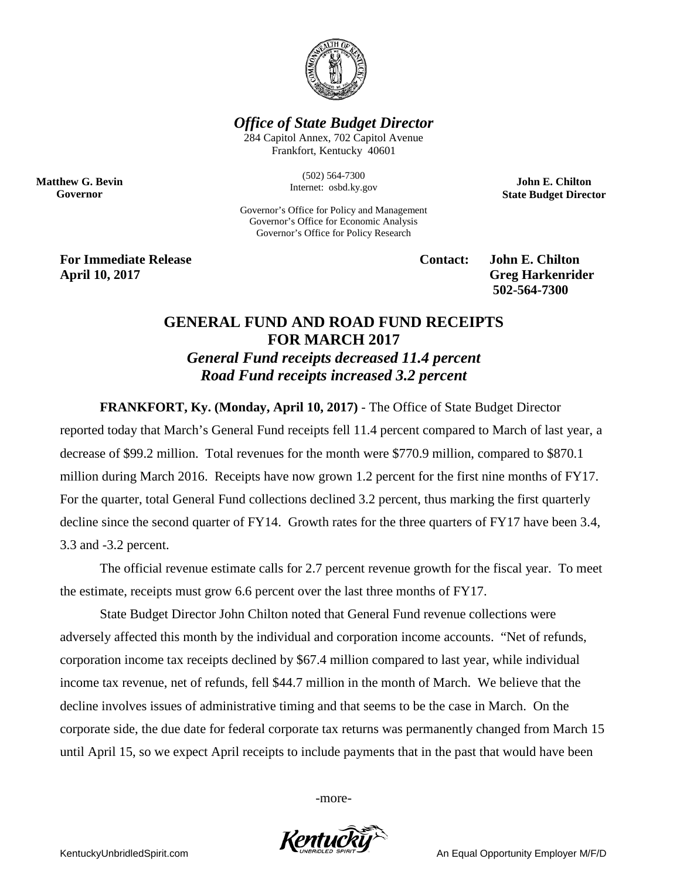

*Office of State Budget Director*

284 Capitol Annex, 702 Capitol Avenue Frankfort, Kentucky 40601

> (502) 564-7300 Internet: osbd.ky.gov

Governor's Office for Policy and Management Governor's Office for Economic Analysis Governor's Office for Policy Research

**John E. Chilton State Budget Director**

**For Immediate Release Contact: John E. Chilton April 10, 2017 Greg Harkenrider**

**Matthew G. Bevin Governor**

**502-564-7300** 

## **GENERAL FUND AND ROAD FUND RECEIPTS FOR MARCH 2017** *General Fund receipts decreased 11.4 percent Road Fund receipts increased 3.2 percent*

**FRANKFORT, Ky. (Monday, April 10, 2017)** - The Office of State Budget Director

reported today that March's General Fund receipts fell 11.4 percent compared to March of last year, a decrease of \$99.2 million. Total revenues for the month were \$770.9 million, compared to \$870.1 million during March 2016. Receipts have now grown 1.2 percent for the first nine months of FY17. For the quarter, total General Fund collections declined 3.2 percent, thus marking the first quarterly decline since the second quarter of FY14. Growth rates for the three quarters of FY17 have been 3.4, 3.3 and -3.2 percent.

The official revenue estimate calls for 2.7 percent revenue growth for the fiscal year. To meet the estimate, receipts must grow 6.6 percent over the last three months of FY17.

State Budget Director John Chilton noted that General Fund revenue collections were adversely affected this month by the individual and corporation income accounts. "Net of refunds, corporation income tax receipts declined by \$67.4 million compared to last year, while individual income tax revenue, net of refunds, fell \$44.7 million in the month of March. We believe that the decline involves issues of administrative timing and that seems to be the case in March. On the corporate side, the due date for federal corporate tax returns was permanently changed from March 15 until April 15, so we expect April receipts to include payments that in the past that would have been

-more-



KentuckyUnbridledSpirit.com An Equal Opportunity Employer M/F/D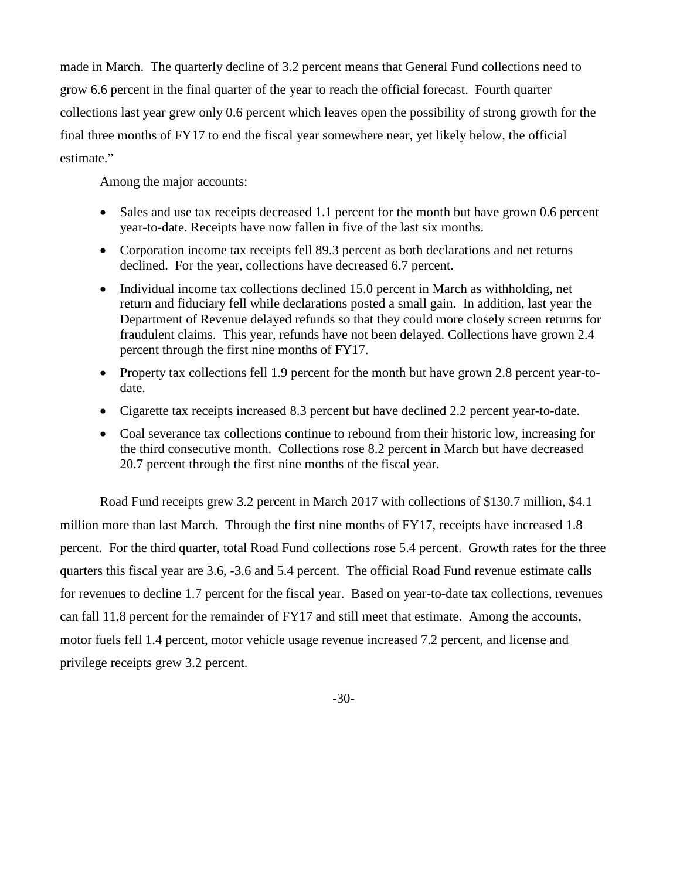made in March. The quarterly decline of 3.2 percent means that General Fund collections need to grow 6.6 percent in the final quarter of the year to reach the official forecast. Fourth quarter collections last year grew only 0.6 percent which leaves open the possibility of strong growth for the final three months of FY17 to end the fiscal year somewhere near, yet likely below, the official estimate."

Among the major accounts:

- Sales and use tax receipts decreased 1.1 percent for the month but have grown 0.6 percent year-to-date. Receipts have now fallen in five of the last six months.
- Corporation income tax receipts fell 89.3 percent as both declarations and net returns declined. For the year, collections have decreased 6.7 percent.
- Individual income tax collections declined 15.0 percent in March as withholding, net return and fiduciary fell while declarations posted a small gain. In addition, last year the Department of Revenue delayed refunds so that they could more closely screen returns for fraudulent claims. This year, refunds have not been delayed. Collections have grown 2.4 percent through the first nine months of FY17.
- Property tax collections fell 1.9 percent for the month but have grown 2.8 percent year-todate.
- Cigarette tax receipts increased 8.3 percent but have declined 2.2 percent year-to-date.
- Coal severance tax collections continue to rebound from their historic low, increasing for the third consecutive month. Collections rose 8.2 percent in March but have decreased 20.7 percent through the first nine months of the fiscal year.

Road Fund receipts grew 3.2 percent in March 2017 with collections of \$130.7 million, \$4.1 million more than last March. Through the first nine months of FY17, receipts have increased 1.8 percent. For the third quarter, total Road Fund collections rose 5.4 percent. Growth rates for the three quarters this fiscal year are 3.6, -3.6 and 5.4 percent. The official Road Fund revenue estimate calls for revenues to decline 1.7 percent for the fiscal year. Based on year-to-date tax collections, revenues can fall 11.8 percent for the remainder of FY17 and still meet that estimate. Among the accounts, motor fuels fell 1.4 percent, motor vehicle usage revenue increased 7.2 percent, and license and privilege receipts grew 3.2 percent.

-30-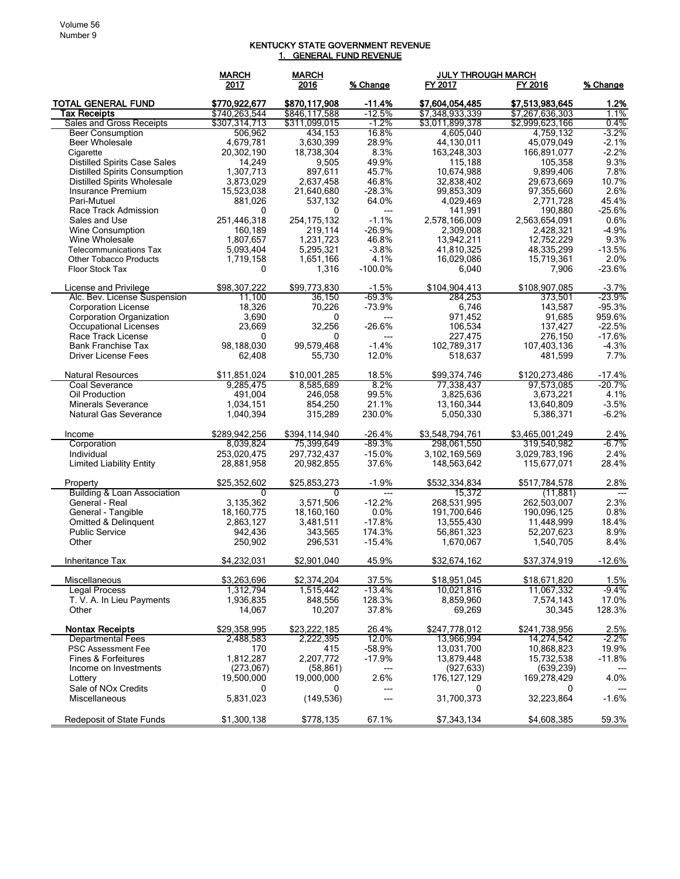## KENTUCKY STATE GOVERNMENT REVENUE 1. GENERAL FUND REVENUE

|                                                                            | <b>MARCH</b>           | <b>MARCH</b>         |                | <b>JULY THROUGH MARCH</b> |                         |                |
|----------------------------------------------------------------------------|------------------------|----------------------|----------------|---------------------------|-------------------------|----------------|
|                                                                            | 2017                   | 2016                 | % Change       | FY 2017                   | FY 2016                 | % Change       |
| <b>TOTAL GENERAL FUND</b>                                                  | \$770,922,677          | \$870,117,908        | $-11.4%$       | \$7,604,054,485           | \$7.513.983.645         | 1.2%           |
| <b>Tax Receipts</b>                                                        | \$740,263,544          | \$846,117,588        | $-12.5%$       | \$7,348,933,339           | \$7,267,636,303         | 1.1%           |
| Sales and Gross Receipts                                                   | \$307,314,713          | \$311,099,015        | $-1.2%$        | \$3,011,899,378           | \$2,999,623,166         | 0.4%           |
| <b>Beer Consumption</b>                                                    | 506,962                | 434,153              | 16.8%          | 4,605,040                 | 4,759,132               | $-3.2%$        |
| <b>Beer Wholesale</b>                                                      | 4,679,781              | 3,630,399            | 28.9%          | 44,130,011                | 45,079,049              | $-2.1%$        |
| Cigarette                                                                  | 20,302,190             | 18,738,304           | 8.3%           | 163,248,303               | 166,891,077             | $-2.2%$        |
| <b>Distilled Spirits Case Sales</b>                                        | 14,249                 | 9,505                | 49.9%          | 115,188                   | 105,358                 | 9.3%           |
| <b>Distilled Spirits Consumption</b><br><b>Distilled Spirits Wholesale</b> | 1,307,713<br>3,873,029 | 897,611<br>2,637,458 | 45.7%<br>46.8% | 10,674,988<br>32,838,402  | 9,899,406<br>29,673,669 | 7.8%<br>10.7%  |
| Insurance Premium                                                          | 15,523,038             | 21,640,680           | $-28.3%$       | 99,853,309                | 97,355,660              | 2.6%           |
| Pari-Mutuel                                                                | 881,026                | 537,132              | 64.0%          | 4,029,469                 | 2,771,728               | 45.4%          |
| Race Track Admission                                                       | 0                      | 0                    | ---            | 141,991                   | 190,880                 | $-25.6%$       |
| Sales and Use                                                              | 251,446,318            | 254, 175, 132        | $-1.1%$        | 2,578,166,009             | 2,563,654,091           | $0.6\%$        |
| Wine Consumption                                                           | 160,189                | 219,114              | $-26.9%$       | 2,309,008                 | 2,428,321               | $-4.9%$        |
| Wine Wholesale                                                             | 1,807,657              | 1,231,723            | 46.8%          | 13,942,211                | 12,752,229              | 9.3%           |
| <b>Telecommunications Tax</b>                                              | 5,093,404              | 5,295,321            | $-3.8%$        | 41,810,325                | 48,335,299              | $-13.5%$       |
| <b>Other Tobacco Products</b>                                              | 1,719,158              | 1,651,166            | 4.1%           | 16,029,086                | 15,719,361              | 2.0%           |
| Floor Stock Tax                                                            | 0                      | 1,316                | $-100.0\%$     | 6,040                     | 7,906                   | $-23.6%$       |
| License and Privilege                                                      | \$98,307,222           | \$99,773,830         | $-1.5%$        | \$104,904,413             | \$108,907,085           | $-3.7%$        |
| Alc. Bev. License Suspension                                               | 11,100                 | 36,150               | $-69.3%$       | 284,253                   | 373,501                 | $-23.9\%$      |
| <b>Corporation License</b>                                                 | 18,326                 | 70,226               | $-73.9%$       | 6,746                     | 143,587                 | $-95.3%$       |
| <b>Corporation Organization</b>                                            | 3,690                  | 0                    |                | 971,452                   | 91,685                  | 959.6%         |
| <b>Occupational Licenses</b>                                               | 23,669                 | 32,256               | -26.6%         | 106,534                   | 137,427                 | $-22.5%$       |
| Race Track License                                                         | 0                      | 0                    | ---            | 227,475                   | 276,150                 | $-17.6%$       |
| <b>Bank Franchise Tax</b>                                                  | 98,188,030             | 99,579,468           | $-1.4%$        | 102,789,317               | 107,403,136             | $-4.3%$        |
| Driver License Fees                                                        | 62,408                 | 55,730               | 12.0%          | 518,637                   | 481,599                 | 7.7%           |
| <b>Natural Resources</b>                                                   | \$11.851.024           | \$10,001,285         | 18.5%          | \$99.374.746              | \$120,273,486           | $-17.4%$       |
| Coal Severance                                                             | 9,285,475              | 8,585,689            | 8.2%           | 77,338,437                | 97,573,085              | $-20.7%$       |
| Oil Production                                                             | 491,004                | 246,058              | 99.5%          | 3,825,636                 | 3,673,221               | 4.1%           |
| <b>Minerals Severance</b>                                                  | 1,034,151              | 854,250              | 21.1%          | 13,160,344                | 13,640,809              | $-3.5%$        |
| <b>Natural Gas Severance</b>                                               | 1,040,394              | 315,289              | 230.0%         | 5,050,330                 | 5,386,371               | $-6.2%$        |
| Income                                                                     | \$289,942,256          | \$394,114,940        | $-26.4%$       | \$3,548,794,761           | \$3,465,001,249         | 2.4%           |
| Corporation                                                                | 8,039,824              | 75,399,649           | $-89.3%$       | 298,061,550               | 319,540,982             | $-6.7%$        |
| Individual                                                                 | 253,020,475            | 297,732,437          | $-15.0%$       | 3.102.169.569             | 3,029,783,196           | 2.4%           |
| <b>Limited Liability Entity</b>                                            | 28,881,958             | 20,982,855           | 37.6%          | 148,563,642               | 115,677,071             | 28.4%          |
| Property                                                                   | \$25,352,602           | \$25,853,273         | $-1.9%$        | \$532,334,834             | \$517,784,578           | 2.8%           |
| <b>Building &amp; Loan Association</b>                                     | 0                      | 0                    | ---            | 15,372                    | (11, 881)               | $\overline{a}$ |
| General - Real                                                             | 3,135,362              | 3,571,506            | $-12.2%$       | 268,531,995               | 262,503,007             | 2.3%           |
| General - Tangible                                                         | 18,160,775             | 18,160,160           | 0.0%           | 191,700,646               | 190,096,125             | 0.8%           |
| Omitted & Delinquent                                                       | 2,863,127              | 3,481,511            | $-17.8%$       | 13,555,430                | 11,448,999              | 18.4%          |
| <b>Public Service</b>                                                      | 942,436                | 343,565              | 174.3%         | 56.861,323                | 52,207,623              | 8.9%           |
| Other                                                                      | 250,902                | 296,531              | $-15.4%$       | 1,670,067                 | 1,540,705               | 8.4%           |
| Inheritance Tax                                                            | \$4,232,031            | \$2,901,040          | 45.9%          | \$32,674,162              | \$37,374,919            | $-12.6%$       |
| Miscellaneous                                                              | \$3,263,696            | \$2,374,204          | 37.5%          | \$18,951,045              | \$18,671,820            | 1.5%           |
| Legal Process                                                              | 1,312,794              | 1,515,442            | $-13.4%$       | 10,021,816                | 11,067,332              | $-9.4%$        |
| T. V. A. In Lieu Payments                                                  | 1,936,835              | 848,556              | 128.3%         | 8,859,960                 | 7,574,143               | 17.0%          |
| Other                                                                      | 14,067                 | 10,207               | 37.8%          | 69,269                    | 30,345                  | 128.3%         |
| <b>Nontax Receipts</b>                                                     | \$29,358,995           | \$23,222,185         | 26.4%          | \$247,778,012             | \$241,738,956           | 2.5%           |
| <b>Departmental Fees</b>                                                   | 2,488,583              | 2,222,395            | 12.0%          | 13,966,994                | 14,274,542              | $-2.2%$        |
| PSC Assessment Fee                                                         | 170                    | 415                  | $-58.9%$       | 13,031,700                | 10,868,823              | 19.9%          |
| Fines & Forfeitures                                                        | 1,812,287              | 2,207,772            | $-17.9%$       | 13,879,448                | 15,732,538              | $-11.8%$       |
| Income on Investments                                                      | (273,067)              | (58, 861)            |                | (927, 633)                | (639, 239)              |                |
| Lottery                                                                    | 19,500,000             | 19,000,000           | 2.6%           | 176, 127, 129             | 169,278,429             | 4.0%           |
| Sale of NO <sub>x</sub> Credits                                            | $\mathbf{0}$           | 0                    | ---            | 0                         | 0                       |                |
| Miscellaneous                                                              | 5,831,023              | (149, 536)           |                | 31,700,373                | 32,223,864              | $-1.6%$        |
| Redeposit of State Funds                                                   | \$1,300,138            | \$778,135            | 67.1%          | \$7,343,134               | \$4,608,385             | 59.3%          |